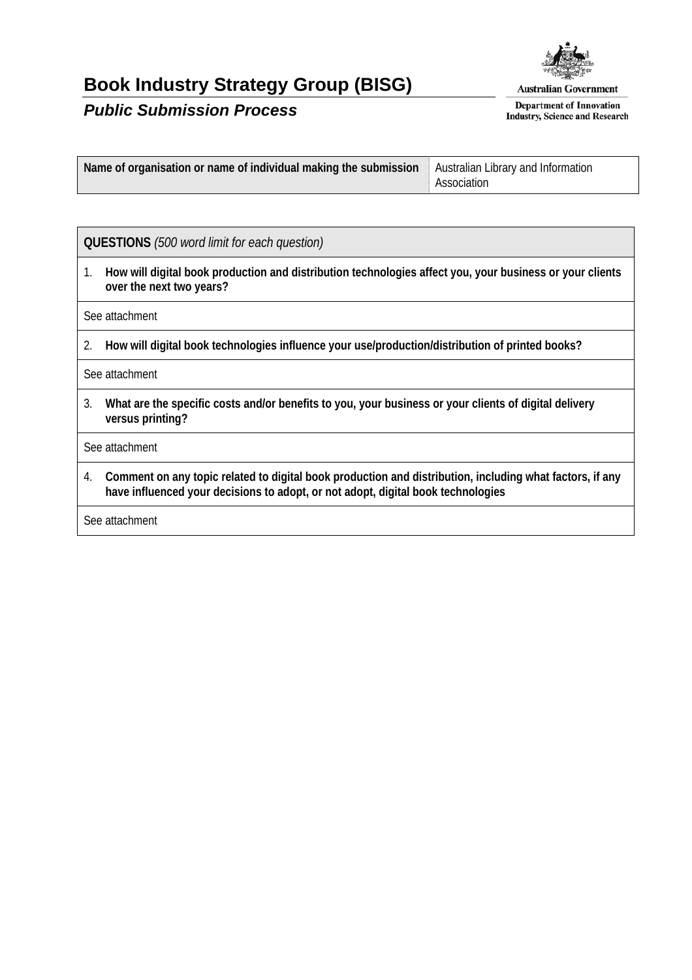## **Book Industry Strategy Group (BISG)**



## *Public Submission Process*

**Australian Government** 

**Department of Innovation Industry, Science and Research** 

| Name of organisation or name of individual making the submission   Australian Library and Information |             |
|-------------------------------------------------------------------------------------------------------|-------------|
|                                                                                                       | Association |

## **QUESTIONS** *(500 word limit for each question)*

1. **How will digital book production and distribution technologies affect you, your business or your clients over the next two years?** 

See attachment

2. **How will digital book technologies influence your use/production/distribution of printed books?** 

See attachment

3. **What are the specific costs and/or benefits to you, your business or your clients of digital delivery versus printing?** 

See attachment

4. **Comment on any topic related to digital book production and distribution, including what factors, if any have influenced your decisions to adopt, or not adopt, digital book technologies** 

See attachment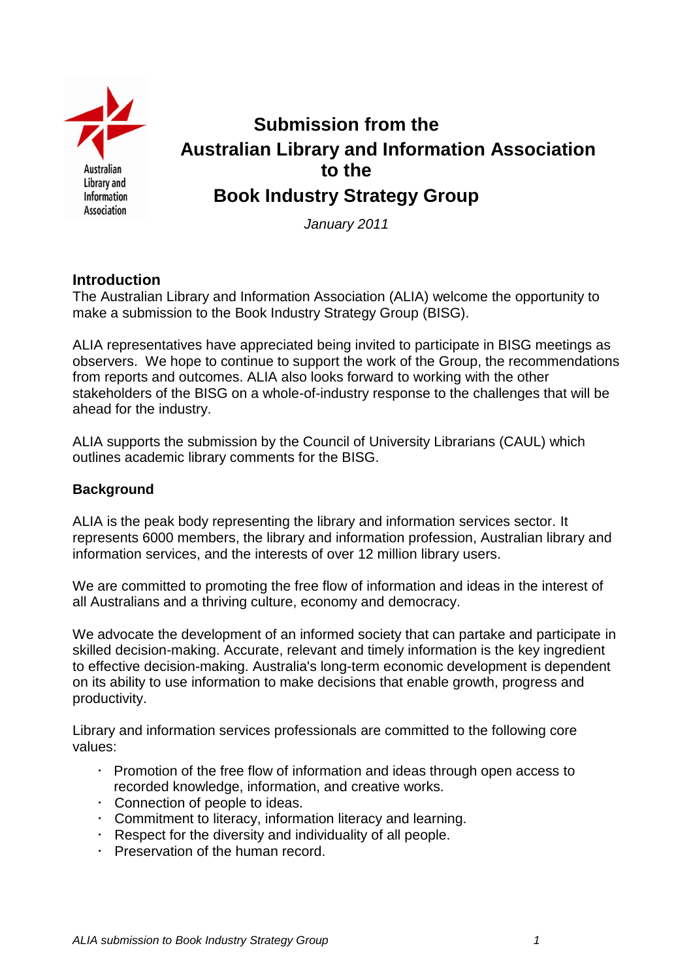

# **Submission from the Australian Library and Information Association to the Book Industry Strategy Group**

*January 2011*

## **Introduction**

The Australian Library and Information Association (ALIA) welcome the opportunity to make a submission to the Book Industry Strategy Group (BISG).

ALIA representatives have appreciated being invited to participate in BISG meetings as observers. We hope to continue to support the work of the Group, the recommendations from reports and outcomes. ALIA also looks forward to working with the other stakeholders of the BISG on a whole-of-industry response to the challenges that will be ahead for the industry.

ALIA supports the submission by the Council of University Librarians (CAUL) which outlines academic library comments for the BISG.

## **Background**

ALIA is the peak body representing the library and information services sector. It represents 6000 members, the library and information profession, Australian library and information services, and the interests of over 12 million library users.

We are committed to promoting the free flow of information and ideas in the interest of all Australians and a thriving culture, economy and democracy.

We advocate the development of an informed society that can partake and participate in skilled decision-making. Accurate, relevant and timely information is the key ingredient to effective decision-making. Australia's long-term economic development is dependent on its ability to use information to make decisions that enable growth, progress and productivity.

Library and information services professionals are committed to the following core values:

- $\cdot$  Promotion of the free flow of information and ideas through open access to recorded knowledge, information, and creative works.
- Connection of people to ideas.
- Commitment to literacy, information literacy and learning.
- Respect for the diversity and individuality of all people.
- Preservation of the human record.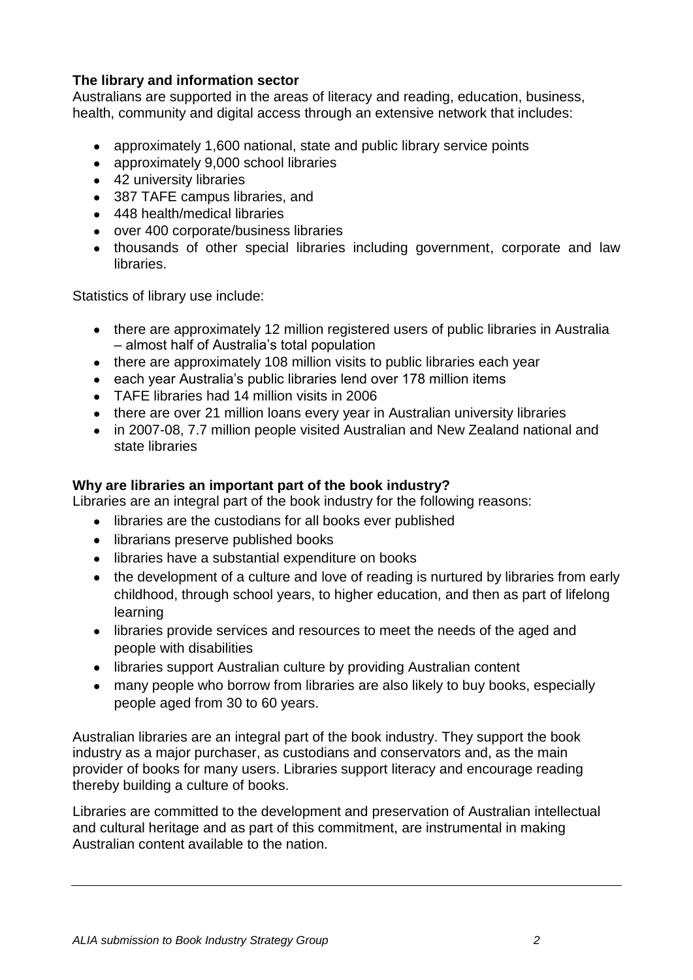## **The library and information sector**

Australians are supported in the areas of literacy and reading, education, business, health, community and digital access through an extensive network that includes:

- approximately 1,600 national, state and public library service points
- approximately 9,000 school libraries
- 42 university libraries
- 387 TAFE campus libraries, and
- 448 health/medical libraries
- over 400 corporate/business libraries
- thousands of other special libraries including government, corporate and law libraries.

Statistics of library use include:

- there are approximately 12 million registered users of public libraries in Australia – almost half of Australia"s total population
- there are approximately 108 million visits to public libraries each year
- each year Australia's public libraries lend over 178 million items
- TAFE libraries had 14 million visits in 2006
- there are over 21 million loans every year in Australian university libraries
- in 2007-08, 7.7 million people visited Australian and New Zealand national and state libraries

## **Why are libraries an important part of the book industry?**

Libraries are an integral part of the book industry for the following reasons:

- libraries are the custodians for all books ever published
- librarians preserve published books
- libraries have a substantial expenditure on books
- the development of a culture and love of reading is nurtured by libraries from early childhood, through school years, to higher education, and then as part of lifelong learning
- libraries provide services and resources to meet the needs of the aged and people with disabilities
- libraries support Australian culture by providing Australian content
- many people who borrow from libraries are also likely to buy books, especially people aged from 30 to 60 years.

Australian libraries are an integral part of the book industry. They support the book industry as a major purchaser, as custodians and conservators and, as the main provider of books for many users. Libraries support literacy and encourage reading thereby building a culture of books.

Libraries are committed to the development and preservation of Australian intellectual and cultural heritage and as part of this commitment, are instrumental in making Australian content available to the nation.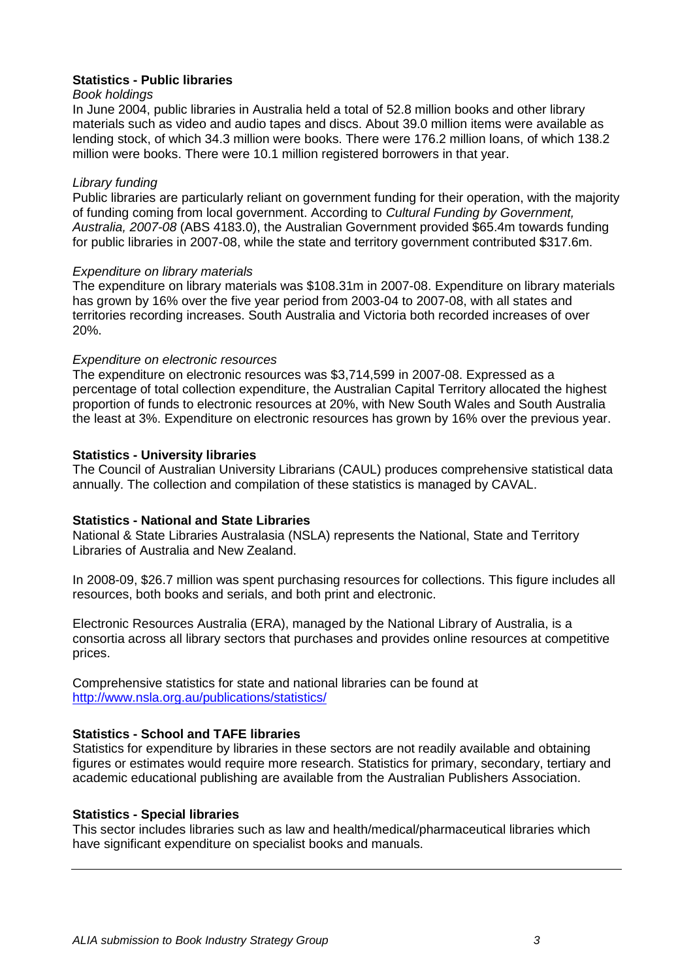#### **Statistics - Public libraries**

#### *Book holdings*

In June 2004, public libraries in Australia held a total of 52.8 million books and other library materials such as video and audio tapes and discs. About 39.0 million items were available as lending stock, of which 34.3 million were books. There were 176.2 million loans, of which 138.2 million were books. There were 10.1 million registered borrowers in that year.

#### *Library funding*

Public libraries are particularly reliant on government funding for their operation, with the majority of funding coming from local government. According to *Cultural Funding by Government, Australia, 2007-08* (ABS 4183.0), the Australian Government provided \$65.4m towards funding for public libraries in 2007-08, while the state and territory government contributed \$317.6m.

#### *Expenditure on library materials*

The expenditure on library materials was \$108.31m in 2007-08. Expenditure on library materials has grown by 16% over the five year period from 2003-04 to 2007-08, with all states and territories recording increases. South Australia and Victoria both recorded increases of over 20%.

#### *Expenditure on electronic resources*

The expenditure on electronic resources was \$3,714,599 in 2007-08. Expressed as a percentage of total collection expenditure, the Australian Capital Territory allocated the highest proportion of funds to electronic resources at 20%, with New South Wales and South Australia the least at 3%. Expenditure on electronic resources has grown by 16% over the previous year.

#### **Statistics - University libraries**

The Council of Australian University Librarians (CAUL) produces comprehensive statistical data annually. The collection and compilation of these statistics is managed by CAVAL.

#### **Statistics - National and State Libraries**

National & State Libraries Australasia (NSLA) represents the National, State and Territory Libraries of Australia and New Zealand.

In 2008-09, \$26.7 million was spent purchasing resources for collections. This figure includes all resources, both books and serials, and both print and electronic.

Electronic Resources Australia (ERA), managed by the National Library of Australia, is a consortia across all library sectors that purchases and provides online resources at competitive prices.

Comprehensive statistics for state and national libraries can be found at <http://www.nsla.org.au/publications/statistics/>

#### **Statistics - School and TAFE libraries**

Statistics for expenditure by libraries in these sectors are not readily available and obtaining figures or estimates would require more research. Statistics for primary, secondary, tertiary and academic educational publishing are available from the Australian Publishers Association.

#### **Statistics - Special libraries**

This sector includes libraries such as law and health/medical/pharmaceutical libraries which have significant expenditure on specialist books and manuals.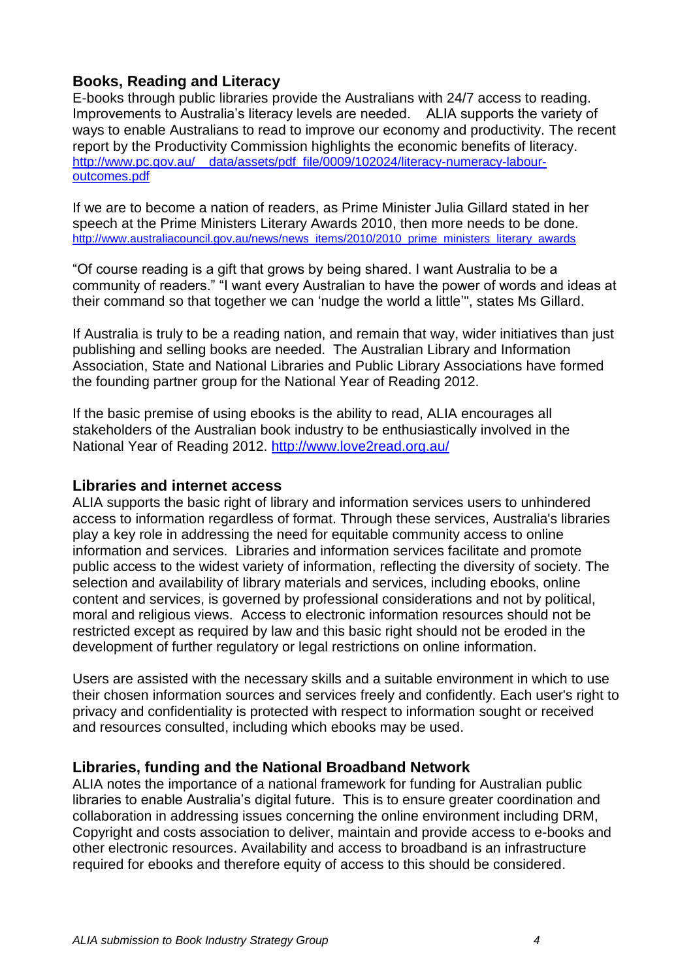## **Books, Reading and Literacy**

E-books through public libraries provide the Australians with 24/7 access to reading. Improvements to Australia"s literacy levels are needed. ALIA supports the variety of ways to enable Australians to read to improve our economy and productivity. The recent report by the Productivity Commission highlights the economic benefits of literacy. http://www.pc.gov.au/ data/assets/pdf file/0009/102024/literacy-numeracy-labour[outcomes.pdf](http://www.pc.gov.au/__data/assets/pdf_file/0009/102024/literacy-numeracy-labour-outcomes.pdf)

If we are to become a nation of readers, as Prime Minister Julia Gillard stated in her speech at the Prime Ministers Literary Awards 2010, then more needs to be done. [http://www.australiacouncil.gov.au/news/news\\_items/2010/2010\\_prime\\_ministers\\_literary\\_awards](http://www.australiacouncil.gov.au/news/news_items/2010/2010_prime_ministers_literary_awards)

"Of course reading is a gift that grows by being shared. I want Australia to be a community of readers." "I want every Australian to have the power of words and ideas at their command so that together we can "nudge the world a little"", states Ms Gillard.

If Australia is truly to be a reading nation, and remain that way, wider initiatives than just publishing and selling books are needed. The Australian Library and Information Association, State and National Libraries and Public Library Associations have formed the founding partner group for the National Year of Reading 2012.

If the basic premise of using ebooks is the ability to read, ALIA encourages all stakeholders of the Australian book industry to be enthusiastically involved in the National Year of Reading 2012. <http://www.love2read.org.au/>

## **Libraries and internet access**

ALIA supports the basic right of library and information services users to unhindered access to information regardless of format. Through these services, Australia's libraries play a key role in addressing the need for equitable community access to online information and services. Libraries and information services facilitate and promote public access to the widest variety of information, reflecting the diversity of society. The selection and availability of library materials and services, including ebooks, online content and services, is governed by professional considerations and not by political, moral and religious views. Access to electronic information resources should not be restricted except as required by law and this basic right should not be eroded in the development of further regulatory or legal restrictions on online information.

Users are assisted with the necessary skills and a suitable environment in which to use their chosen information sources and services freely and confidently. Each user's right to privacy and confidentiality is protected with respect to information sought or received and resources consulted, including which ebooks may be used.

## **Libraries, funding and the National Broadband Network**

ALIA notes the importance of a national framework for funding for Australian public libraries to enable Australia"s digital future. This is to ensure greater coordination and collaboration in addressing issues concerning the online environment including DRM, Copyright and costs association to deliver, maintain and provide access to e-books and other electronic resources. Availability and access to broadband is an infrastructure required for ebooks and therefore equity of access to this should be considered.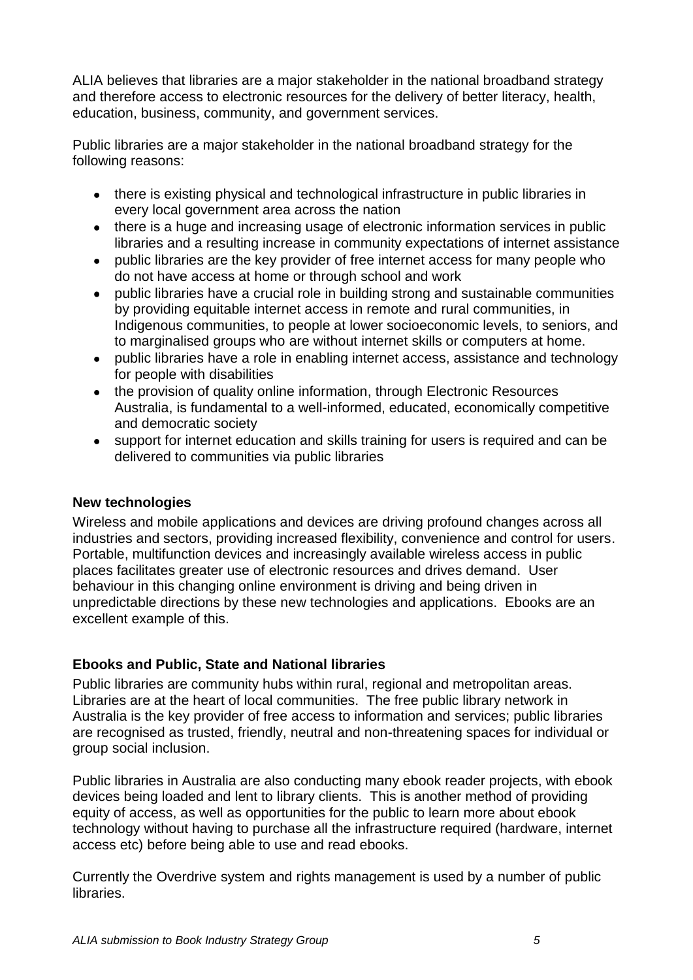ALIA believes that libraries are a major stakeholder in the national broadband strategy and therefore access to electronic resources for the delivery of better literacy, health, education, business, community, and government services.

Public libraries are a major stakeholder in the national broadband strategy for the following reasons:

- there is existing physical and technological infrastructure in public libraries in every local government area across the nation
- there is a huge and increasing usage of electronic information services in public libraries and a resulting increase in community expectations of internet assistance
- public libraries are the key provider of free internet access for many people who do not have access at home or through school and work
- public libraries have a crucial role in building strong and sustainable communities by providing equitable internet access in remote and rural communities, in Indigenous communities, to people at lower socioeconomic levels, to seniors, and to marginalised groups who are without internet skills or computers at home.
- public libraries have a role in enabling internet access, assistance and technology for people with disabilities
- the provision of quality online information, through Electronic Resources Australia, is fundamental to a well-informed, educated, economically competitive and democratic society
- support for internet education and skills training for users is required and can be delivered to communities via public libraries

## **New technologies**

Wireless and mobile applications and devices are driving profound changes across all industries and sectors, providing increased flexibility, convenience and control for users. Portable, multifunction devices and increasingly available wireless access in public places facilitates greater use of electronic resources and drives demand. User behaviour in this changing online environment is driving and being driven in unpredictable directions by these new technologies and applications. Ebooks are an excellent example of this.

## **Ebooks and Public, State and National libraries**

Public libraries are community hubs within rural, regional and metropolitan areas. Libraries are at the heart of local communities. The free public library network in Australia is the key provider of free access to information and services; public libraries are recognised as trusted, friendly, neutral and non-threatening spaces for individual or group social inclusion.

Public libraries in Australia are also conducting many ebook reader projects, with ebook devices being loaded and lent to library clients. This is another method of providing equity of access, as well as opportunities for the public to learn more about ebook technology without having to purchase all the infrastructure required (hardware, internet access etc) before being able to use and read ebooks.

Currently the Overdrive system and rights management is used by a number of public libraries.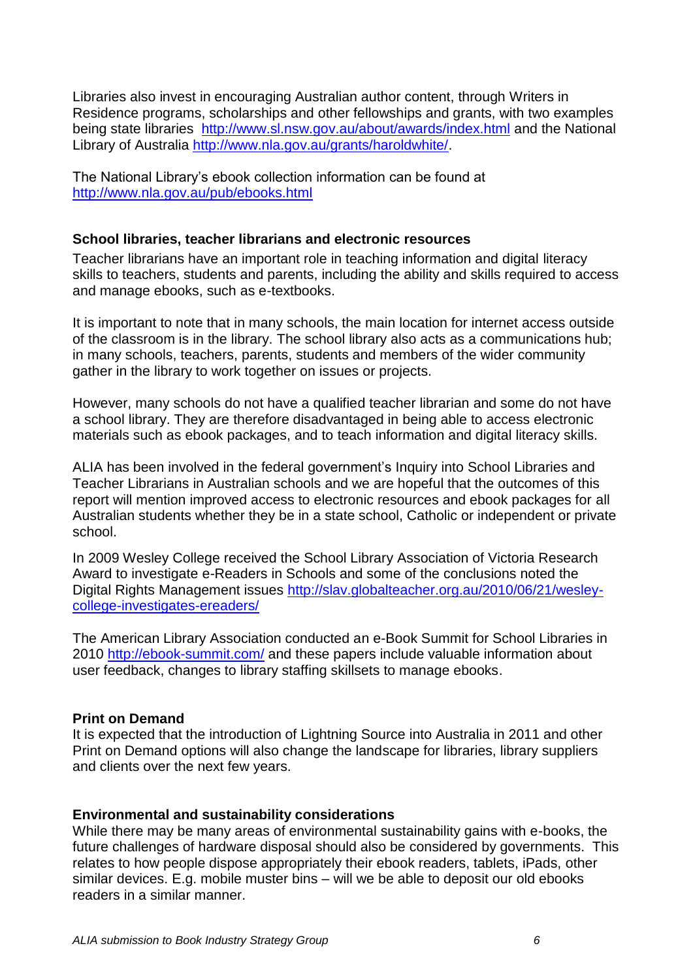Libraries also invest in encouraging Australian author content, through Writers in Residence programs, scholarships and other fellowships and grants, with two examples being state libraries <http://www.sl.nsw.gov.au/about/awards/index.html> and the National Library of Australia [http://www.nla.gov.au/grants/haroldwhite/.](http://www.nla.gov.au/grants/haroldwhite/)

The National Library"s ebook collection information can be found at <http://www.nla.gov.au/pub/ebooks.html>

#### **School libraries, teacher librarians and electronic resources**

Teacher librarians have an important role in teaching information and digital literacy skills to teachers, students and parents, including the ability and skills required to access and manage ebooks, such as e-textbooks.

It is important to note that in many schools, the main location for internet access outside of the classroom is in the library. The school library also acts as a communications hub; in many schools, teachers, parents, students and members of the wider community gather in the library to work together on issues or projects.

However, many schools do not have a qualified teacher librarian and some do not have a school library. They are therefore disadvantaged in being able to access electronic materials such as ebook packages, and to teach information and digital literacy skills.

ALIA has been involved in the federal government"s Inquiry into School Libraries and Teacher Librarians in Australian schools and we are hopeful that the outcomes of this report will mention improved access to electronic resources and ebook packages for all Australian students whether they be in a state school, Catholic or independent or private school.

In 2009 Wesley College received the School Library Association of Victoria Research Award to investigate e-Readers in Schools and some of the conclusions noted the Digital Rights Management issues [http://slav.globalteacher.org.au/2010/06/21/wesley](http://slav.globalteacher.org.au/2010/06/21/wesley-college-investigates-ereaders/)[college-investigates-ereaders/](http://slav.globalteacher.org.au/2010/06/21/wesley-college-investigates-ereaders/)

The American Library Association conducted an e-Book Summit for School Libraries in 2010<http://ebook-summit.com/> and these papers include valuable information about user feedback, changes to library staffing skillsets to manage ebooks.

#### **Print on Demand**

It is expected that the introduction of Lightning Source into Australia in 2011 and other Print on Demand options will also change the landscape for libraries, library suppliers and clients over the next few years.

#### **Environmental and sustainability considerations**

While there may be many areas of environmental sustainability gains with e-books, the future challenges of hardware disposal should also be considered by governments. This relates to how people dispose appropriately their ebook readers, tablets, iPads, other similar devices. E.g. mobile muster bins – will we be able to deposit our old ebooks readers in a similar manner.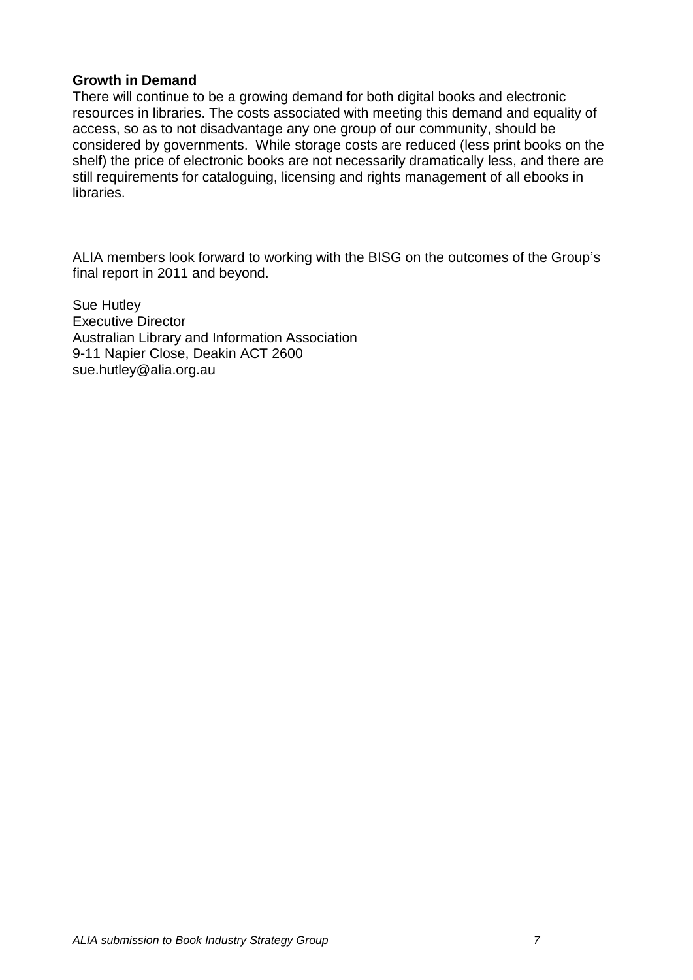#### **Growth in Demand**

There will continue to be a growing demand for both digital books and electronic resources in libraries. The costs associated with meeting this demand and equality of access, so as to not disadvantage any one group of our community, should be considered by governments. While storage costs are reduced (less print books on the shelf) the price of electronic books are not necessarily dramatically less, and there are still requirements for cataloguing, licensing and rights management of all ebooks in libraries.

ALIA members look forward to working with the BISG on the outcomes of the Group"s final report in 2011 and beyond.

Sue Hutley Executive Director Australian Library and Information Association 9-11 Napier Close, Deakin ACT 2600 [sue.hutley@alia.org.au](mailto:sue.hutley@alia.org.au)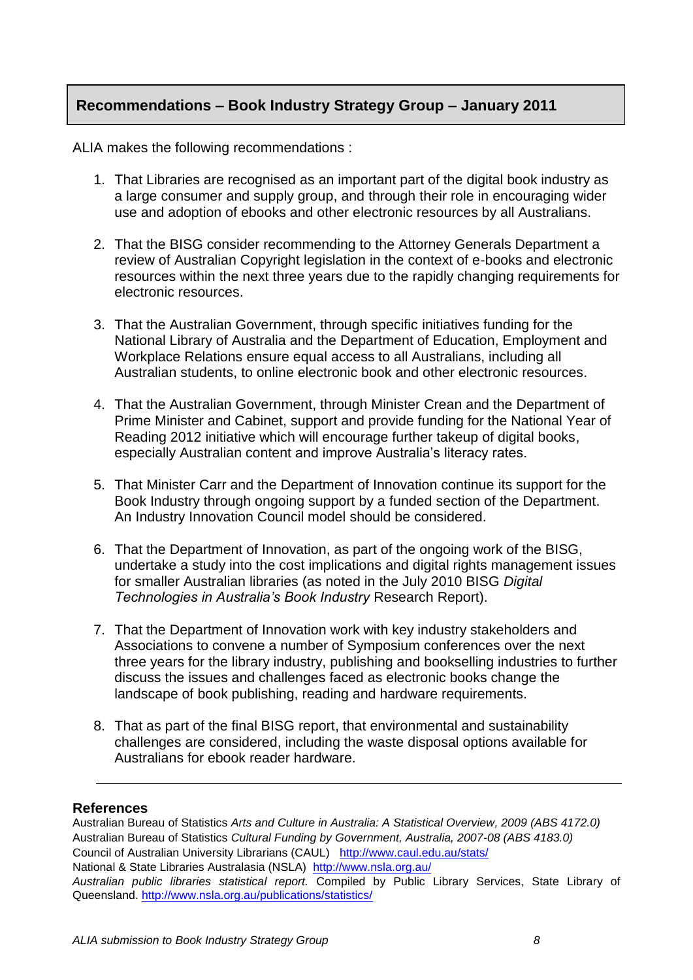## **Recommendations – Book Industry Strategy Group – January 2011**

ALIA makes the following recommendations :

- 1. That Libraries are recognised as an important part of the digital book industry as a large consumer and supply group, and through their role in encouraging wider use and adoption of ebooks and other electronic resources by all Australians.
- 2. That the BISG consider recommending to the Attorney Generals Department a review of Australian Copyright legislation in the context of e-books and electronic resources within the next three years due to the rapidly changing requirements for electronic resources.
- 3. That the Australian Government, through specific initiatives funding for the National Library of Australia and the Department of Education, Employment and Workplace Relations ensure equal access to all Australians, including all Australian students, to online electronic book and other electronic resources.
- 4. That the Australian Government, through Minister Crean and the Department of Prime Minister and Cabinet, support and provide funding for the National Year of Reading 2012 initiative which will encourage further takeup of digital books, especially Australian content and improve Australia"s literacy rates.
- 5. That Minister Carr and the Department of Innovation continue its support for the Book Industry through ongoing support by a funded section of the Department. An Industry Innovation Council model should be considered.
- 6. That the Department of Innovation, as part of the ongoing work of the BISG, undertake a study into the cost implications and digital rights management issues for smaller Australian libraries (as noted in the July 2010 BISG *Digital Technologies in Australia's Book Industry* Research Report).
- 7. That the Department of Innovation work with key industry stakeholders and Associations to convene a number of Symposium conferences over the next three years for the library industry, publishing and bookselling industries to further discuss the issues and challenges faced as electronic books change the landscape of book publishing, reading and hardware requirements.
- 8. That as part of the final BISG report, that environmental and sustainability challenges are considered, including the waste disposal options available for Australians for ebook reader hardware.

#### **References**

Australian Bureau of Statistics *Arts and Culture in Australia: A Statistical Overview, 2009 (ABS 4172.0)* Australian Bureau of Statistics *Cultural Funding by Government, Australia, 2007-08 (ABS 4183.0)* Council of Australian University Librarians (CAUL) <http://www.caul.edu.au/stats/> National & State Libraries Australasia (NSLA)<http://www.nsla.org.au/> *Australian public libraries statistical report.* Compiled by Public Library Services, State Library of

Queensland.<http://www.nsla.org.au/publications/statistics/>